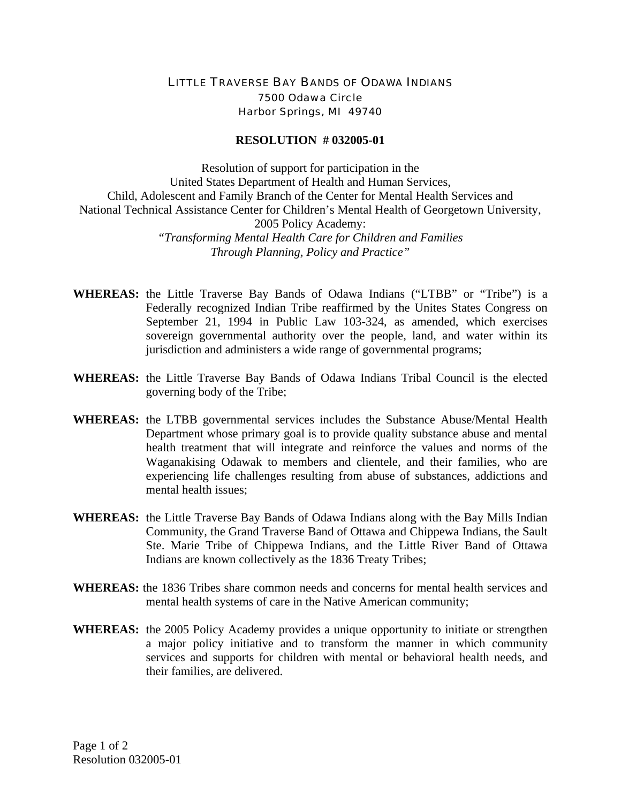## LITTLE TRAVERSE BAY BANDS OF ODAWA INDIANS 7500 Odawa Circle Harbor Springs, MI 49740

## **RESOLUTION # 032005-01**

Resolution of support for participation in the United States Department of Health and Human Services, Child, Adolescent and Family Branch of the Center for Mental Health Services and National Technical Assistance Center for Children's Mental Health of Georgetown University, 2005 Policy Academy: *"Transforming Mental Health Care for Children and Families Through Planning, Policy and Practice"* 

- **WHEREAS:** the Little Traverse Bay Bands of Odawa Indians ("LTBB" or "Tribe") is a Federally recognized Indian Tribe reaffirmed by the Unites States Congress on September 21, 1994 in Public Law 103-324, as amended, which exercises sovereign governmental authority over the people, land, and water within its jurisdiction and administers a wide range of governmental programs;
- **WHEREAS:** the Little Traverse Bay Bands of Odawa Indians Tribal Council is the elected governing body of the Tribe;
- **WHEREAS:** the LTBB governmental services includes the Substance Abuse/Mental Health Department whose primary goal is to provide quality substance abuse and mental health treatment that will integrate and reinforce the values and norms of the Waganakising Odawak to members and clientele, and their families, who are experiencing life challenges resulting from abuse of substances, addictions and mental health issues;
- **WHEREAS:** the Little Traverse Bay Bands of Odawa Indians along with the Bay Mills Indian Community, the Grand Traverse Band of Ottawa and Chippewa Indians, the Sault Ste. Marie Tribe of Chippewa Indians, and the Little River Band of Ottawa Indians are known collectively as the 1836 Treaty Tribes;
- **WHEREAS:** the 1836 Tribes share common needs and concerns for mental health services and mental health systems of care in the Native American community;
- **WHEREAS:** the 2005 Policy Academy provides a unique opportunity to initiate or strengthen a major policy initiative and to transform the manner in which community services and supports for children with mental or behavioral health needs, and their families, are delivered.